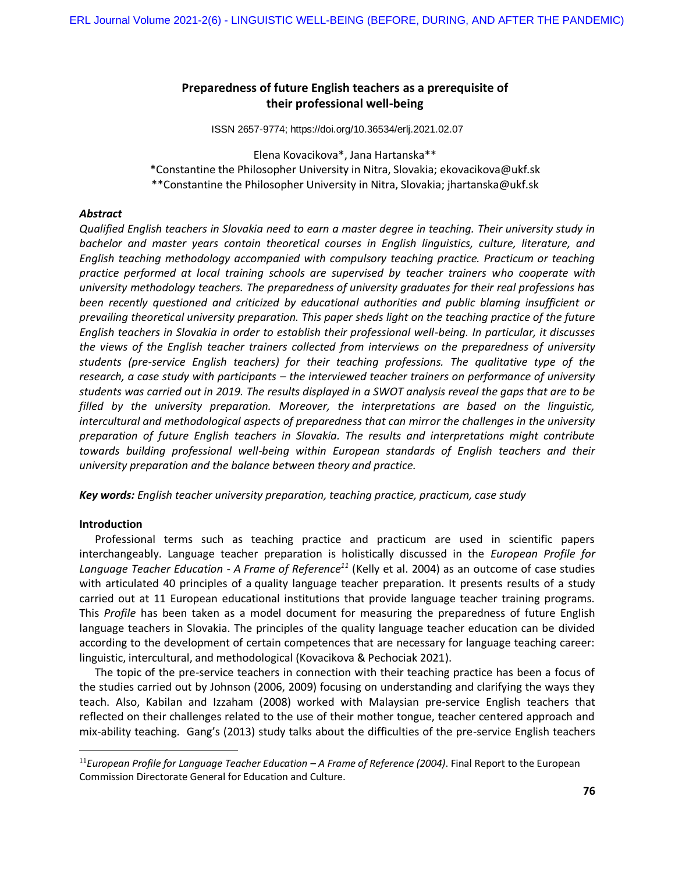# **Preparedness of future English teachers as a prerequisite of their professional well-being**

ISSN 2657-9774; https://doi.org/10.36534/erlj.2021.02.07

Elena Kovacikova\*, Jana Hartanska\*\* \*Constantine the Philosopher University in Nitra, Slovakia; [ekovacikova@ukf.sk](mailto:ekovacikova@ukf.sk) \*\*Constantine the Philosopher University in Nitra, Slovakia; [jhartanska@ukf.sk](mailto:jhartanska@ukf.sk)

# *Abstract*

*Qualified English teachers in Slovakia need to earn a master degree in teaching. Their university study in bachelor and master years contain theoretical courses in English linguistics, culture, literature, and English teaching methodology accompanied with compulsory teaching practice. Practicum or teaching practice performed at local training schools are supervised by teacher trainers who cooperate with university methodology teachers. The preparedness of university graduates for their real professions has been recently questioned and criticized by educational authorities and public blaming insufficient or prevailing theoretical university preparation. This paper sheds light on the teaching practice of the future English teachers in Slovakia in order to establish their professional well-being. In particular, it discusses the views of the English teacher trainers collected from interviews on the preparedness of university students (pre-service English teachers) for their teaching professions. The qualitative type of the research, a case study with participants – the interviewed teacher trainers on performance of university students was carried out in 2019. The results displayed in a SWOT analysis reveal the gaps that are to be filled by the university preparation. Moreover, the interpretations are based on the linguistic, intercultural and methodological aspects of preparedness that can mirror the challenges in the university preparation of future English teachers in Slovakia. The results and interpretations might contribute towards building professional well-being within European standards of English teachers and their university preparation and the balance between theory and practice.*

*Key words: English teacher university preparation, teaching practice, practicum, case study*

# **Introduction**

 $\overline{a}$ 

Professional terms such as teaching practice and practicum are used in scientific papers interchangeably. Language teacher preparation is holistically discussed in the *European Profile for Language Teacher Education - A Frame of Reference<sup>11</sup>* (Kelly et al. 2004) as an outcome of case studies with articulated 40 principles of a quality language teacher preparation. It presents results of a study carried out at 11 European educational institutions that provide language teacher training programs. This *Profile* has been taken as a model document for measuring the preparedness of future English language teachers in Slovakia. The principles of the quality language teacher education can be divided according to the development of certain competences that are necessary for language teaching career: linguistic, intercultural, and methodological (Kovacikova & Pechociak 2021).

The topic of the pre-service teachers in connection with their teaching practice has been a focus of the studies carried out by Johnson (2006, 2009) focusing on understanding and clarifying the ways they teach. Also, Kabilan and Izzaham (2008) worked with Malaysian pre-service English teachers that reflected on their challenges related to the use of their mother tongue, teacher centered approach and mix-ability teaching. Gang's (2013) study talks about the difficulties of the pre-service English teachers

<sup>11</sup>*European Profile for Language Teacher Education – A Frame of Reference (2004)*. Final Report to the European Commission Directorate General for Education and Culture.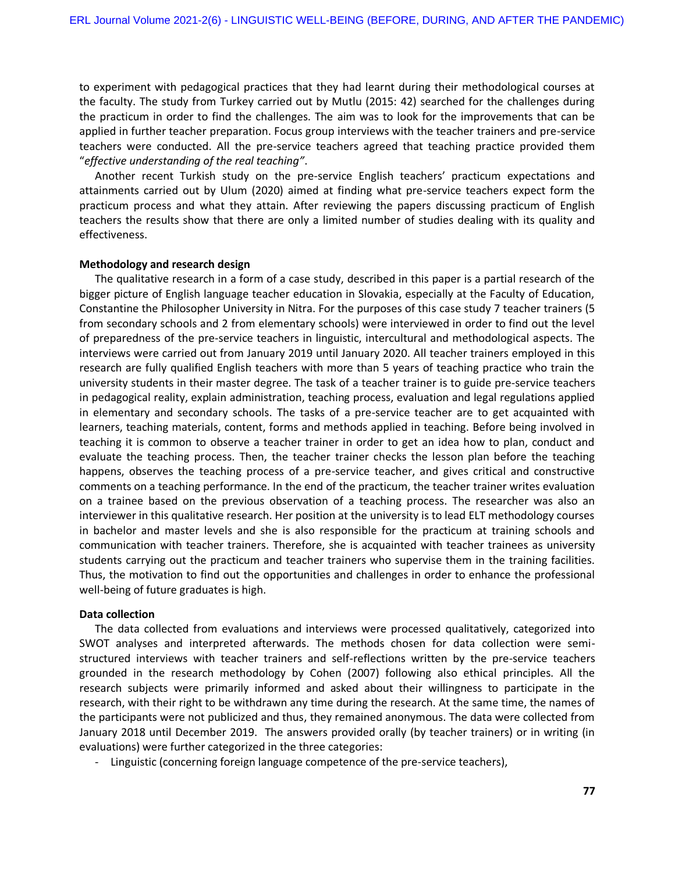to experiment with pedagogical practices that they had learnt during their methodological courses at the faculty. The study from Turkey carried out by Mutlu (2015: 42) searched for the challenges during the practicum in order to find the challenges. The aim was to look for the improvements that can be applied in further teacher preparation. Focus group interviews with the teacher trainers and pre-service teachers were conducted. All the pre-service teachers agreed that teaching practice provided them "*effective understanding of the real teaching"*.

Another recent Turkish study on the pre-service English teachers' practicum expectations and attainments carried out by Ulum (2020) aimed at finding what pre-service teachers expect form the practicum process and what they attain. After reviewing the papers discussing practicum of English teachers the results show that there are only a limited number of studies dealing with its quality and effectiveness.

## **Methodology and research design**

The qualitative research in a form of a case study, described in this paper is a partial research of the bigger picture of English language teacher education in Slovakia, especially at the Faculty of Education, Constantine the Philosopher University in Nitra. For the purposes of this case study 7 teacher trainers (5 from secondary schools and 2 from elementary schools) were interviewed in order to find out the level of preparedness of the pre-service teachers in linguistic, intercultural and methodological aspects. The interviews were carried out from January 2019 until January 2020. All teacher trainers employed in this research are fully qualified English teachers with more than 5 years of teaching practice who train the university students in their master degree. The task of a teacher trainer is to guide pre-service teachers in pedagogical reality, explain administration, teaching process, evaluation and legal regulations applied in elementary and secondary schools. The tasks of a pre-service teacher are to get acquainted with learners, teaching materials, content, forms and methods applied in teaching. Before being involved in teaching it is common to observe a teacher trainer in order to get an idea how to plan, conduct and evaluate the teaching process. Then, the teacher trainer checks the lesson plan before the teaching happens, observes the teaching process of a pre-service teacher, and gives critical and constructive comments on a teaching performance. In the end of the practicum, the teacher trainer writes evaluation on a trainee based on the previous observation of a teaching process. The researcher was also an interviewer in this qualitative research. Her position at the university is to lead ELT methodology courses in bachelor and master levels and she is also responsible for the practicum at training schools and communication with teacher trainers. Therefore, she is acquainted with teacher trainees as university students carrying out the practicum and teacher trainers who supervise them in the training facilities. Thus, the motivation to find out the opportunities and challenges in order to enhance the professional well-being of future graduates is high.

#### **Data collection**

The data collected from evaluations and interviews were processed qualitatively, categorized into SWOT analyses and interpreted afterwards. The methods chosen for data collection were semistructured interviews with teacher trainers and self-reflections written by the pre-service teachers grounded in the research methodology by Cohen (2007) following also ethical principles. All the research subjects were primarily informed and asked about their willingness to participate in the research, with their right to be withdrawn any time during the research. At the same time, the names of the participants were not publicized and thus, they remained anonymous. The data were collected from January 2018 until December 2019. The answers provided orally (by teacher trainers) or in writing (in evaluations) were further categorized in the three categories:

- Linguistic (concerning foreign language competence of the pre-service teachers),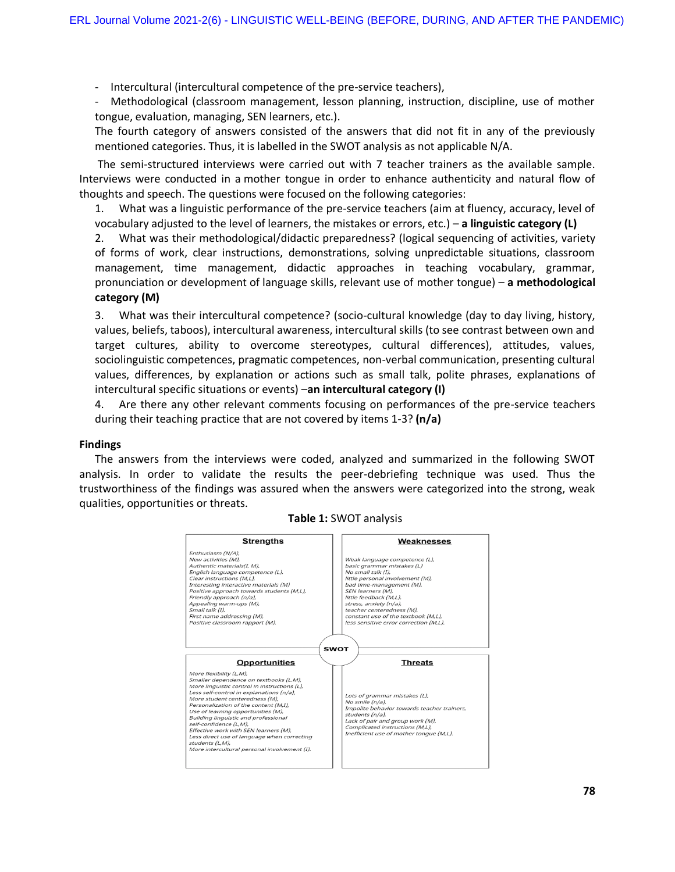- Intercultural (intercultural competence of the pre-service teachers),

Methodological (classroom management, lesson planning, instruction, discipline, use of mother tongue, evaluation, managing, SEN learners, etc.).

The fourth category of answers consisted of the answers that did not fit in any of the previously mentioned categories. Thus, it is labelled in the SWOT analysis as not applicable N/A.

The semi-structured interviews were carried out with 7 teacher trainers as the available sample. Interviews were conducted in a mother tongue in order to enhance authenticity and natural flow of thoughts and speech. The questions were focused on the following categories:

1. What was a linguistic performance of the pre-service teachers (aim at fluency, accuracy, level of vocabulary adjusted to the level of learners, the mistakes or errors, etc.) – **a linguistic category (L)**

2. What was their methodological/didactic preparedness? (logical sequencing of activities, variety of forms of work, clear instructions, demonstrations, solving unpredictable situations, classroom management, time management, didactic approaches in teaching vocabulary, grammar, pronunciation or development of language skills, relevant use of mother tongue) – **a methodological category (M)**

3. What was their intercultural competence? (socio-cultural knowledge (day to day living, history, values, beliefs, taboos), intercultural awareness, intercultural skills (to see contrast between own and target cultures, ability to overcome stereotypes, cultural differences), attitudes, values, sociolinguistic competences, pragmatic competences, non-verbal communication, presenting cultural values, differences, by explanation or actions such as small talk, polite phrases, explanations of intercultural specific situations or events) –**an intercultural category (I)**

4. Are there any other relevant comments focusing on performances of the pre-service teachers during their teaching practice that are not covered by items 1-3? **(n/a)**

#### **Findings**

The answers from the interviews were coded, analyzed and summarized in the following SWOT analysis. In order to validate the results the peer-debriefing technique was used. Thus the trustworthiness of the findings was assured when the answers were categorized into the strong, weak qualities, opportunities or threats.



**Table 1:** SWOT analysis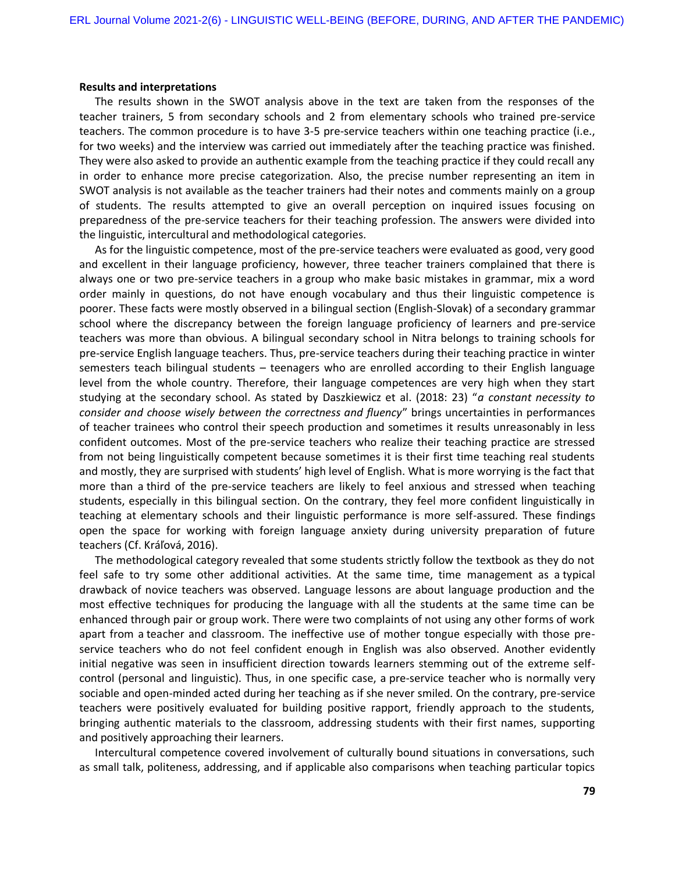#### **Results and interpretations**

The results shown in the SWOT analysis above in the text are taken from the responses of the teacher trainers, 5 from secondary schools and 2 from elementary schools who trained pre-service teachers. The common procedure is to have 3-5 pre-service teachers within one teaching practice (i.e., for two weeks) and the interview was carried out immediately after the teaching practice was finished. They were also asked to provide an authentic example from the teaching practice if they could recall any in order to enhance more precise categorization. Also, the precise number representing an item in SWOT analysis is not available as the teacher trainers had their notes and comments mainly on a group of students. The results attempted to give an overall perception on inquired issues focusing on preparedness of the pre-service teachers for their teaching profession. The answers were divided into the linguistic, intercultural and methodological categories.

As for the linguistic competence, most of the pre-service teachers were evaluated as good, very good and excellent in their language proficiency, however, three teacher trainers complained that there is always one or two pre-service teachers in a group who make basic mistakes in grammar, mix a word order mainly in questions, do not have enough vocabulary and thus their linguistic competence is poorer. These facts were mostly observed in a bilingual section (English-Slovak) of a secondary grammar school where the discrepancy between the foreign language proficiency of learners and pre-service teachers was more than obvious. A bilingual secondary school in Nitra belongs to training schools for pre-service English language teachers. Thus, pre-service teachers during their teaching practice in winter semesters teach bilingual students – teenagers who are enrolled according to their English language level from the whole country. Therefore, their language competences are very high when they start studying at the secondary school. As stated by Daszkiewicz et al. (2018: 23) "*a constant necessity to consider and choose wisely between the correctness and fluency*" brings uncertainties in performances of teacher trainees who control their speech production and sometimes it results unreasonably in less confident outcomes. Most of the pre-service teachers who realize their teaching practice are stressed from not being linguistically competent because sometimes it is their first time teaching real students and mostly, they are surprised with students' high level of English. What is more worrying is the fact that more than a third of the pre-service teachers are likely to feel anxious and stressed when teaching students, especially in this bilingual section. On the contrary, they feel more confident linguistically in teaching at elementary schools and their linguistic performance is more self-assured. These findings open the space for working with foreign language anxiety during university preparation of future teachers (Cf. Kráľová, 2016).

The methodological category revealed that some students strictly follow the textbook as they do not feel safe to try some other additional activities. At the same time, time management as a typical drawback of novice teachers was observed. Language lessons are about language production and the most effective techniques for producing the language with all the students at the same time can be enhanced through pair or group work. There were two complaints of not using any other forms of work apart from a teacher and classroom. The ineffective use of mother tongue especially with those preservice teachers who do not feel confident enough in English was also observed. Another evidently initial negative was seen in insufficient direction towards learners stemming out of the extreme selfcontrol (personal and linguistic). Thus, in one specific case, a pre-service teacher who is normally very sociable and open-minded acted during her teaching as if she never smiled. On the contrary, pre-service teachers were positively evaluated for building positive rapport, friendly approach to the students, bringing authentic materials to the classroom, addressing students with their first names, supporting and positively approaching their learners.

Intercultural competence covered involvement of culturally bound situations in conversations, such as small talk, politeness, addressing, and if applicable also comparisons when teaching particular topics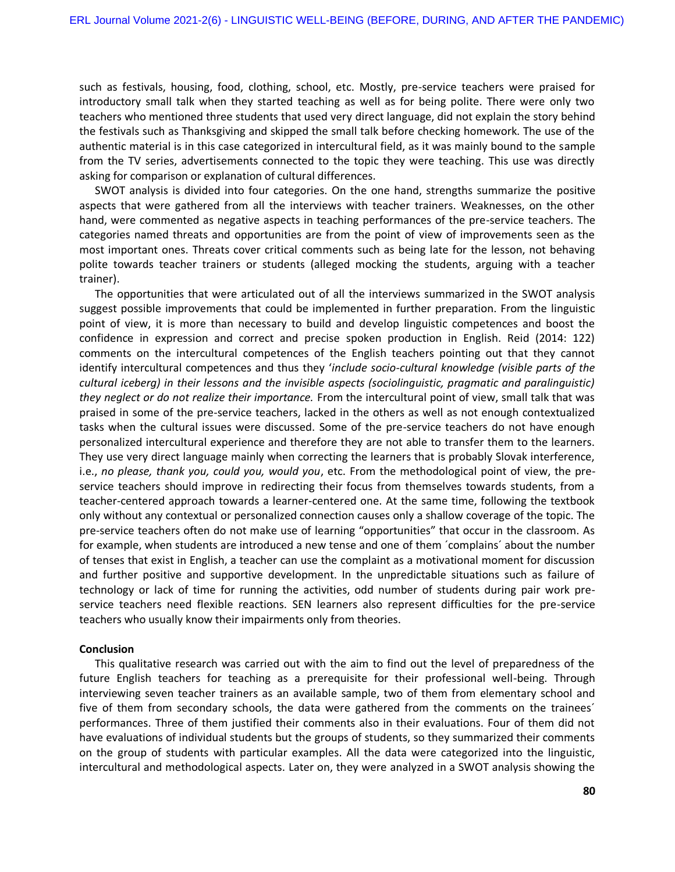such as festivals, housing, food, clothing, school, etc. Mostly, pre-service teachers were praised for introductory small talk when they started teaching as well as for being polite. There were only two teachers who mentioned three students that used very direct language, did not explain the story behind the festivals such as Thanksgiving and skipped the small talk before checking homework. The use of the authentic material is in this case categorized in intercultural field, as it was mainly bound to the sample from the TV series, advertisements connected to the topic they were teaching. This use was directly asking for comparison or explanation of cultural differences.

SWOT analysis is divided into four categories. On the one hand, strengths summarize the positive aspects that were gathered from all the interviews with teacher trainers. Weaknesses, on the other hand, were commented as negative aspects in teaching performances of the pre-service teachers. The categories named threats and opportunities are from the point of view of improvements seen as the most important ones. Threats cover critical comments such as being late for the lesson, not behaving polite towards teacher trainers or students (alleged mocking the students, arguing with a teacher trainer).

The opportunities that were articulated out of all the interviews summarized in the SWOT analysis suggest possible improvements that could be implemented in further preparation. From the linguistic point of view, it is more than necessary to build and develop linguistic competences and boost the confidence in expression and correct and precise spoken production in English. Reid (2014: 122) comments on the intercultural competences of the English teachers pointing out that they cannot identify intercultural competences and thus they '*include socio-cultural knowledge (visible parts of the cultural iceberg) in their lessons and the invisible aspects (sociolinguistic, pragmatic and paralinguistic) they neglect or do not realize their importance.* From the intercultural point of view, small talk that was praised in some of the pre-service teachers, lacked in the others as well as not enough contextualized tasks when the cultural issues were discussed. Some of the pre-service teachers do not have enough personalized intercultural experience and therefore they are not able to transfer them to the learners. They use very direct language mainly when correcting the learners that is probably Slovak interference, i.e., *no please, thank you, could you, would you*, etc. From the methodological point of view, the preservice teachers should improve in redirecting their focus from themselves towards students, from a teacher-centered approach towards a learner-centered one. At the same time, following the textbook only without any contextual or personalized connection causes only a shallow coverage of the topic. The pre-service teachers often do not make use of learning "opportunities" that occur in the classroom. As for example, when students are introduced a new tense and one of them ´complains´ about the number of tenses that exist in English, a teacher can use the complaint as a motivational moment for discussion and further positive and supportive development. In the unpredictable situations such as failure of technology or lack of time for running the activities, odd number of students during pair work preservice teachers need flexible reactions. SEN learners also represent difficulties for the pre-service teachers who usually know their impairments only from theories.

## **Conclusion**

This qualitative research was carried out with the aim to find out the level of preparedness of the future English teachers for teaching as a prerequisite for their professional well-being. Through interviewing seven teacher trainers as an available sample, two of them from elementary school and five of them from secondary schools, the data were gathered from the comments on the trainees´ performances. Three of them justified their comments also in their evaluations. Four of them did not have evaluations of individual students but the groups of students, so they summarized their comments on the group of students with particular examples. All the data were categorized into the linguistic, intercultural and methodological aspects. Later on, they were analyzed in a SWOT analysis showing the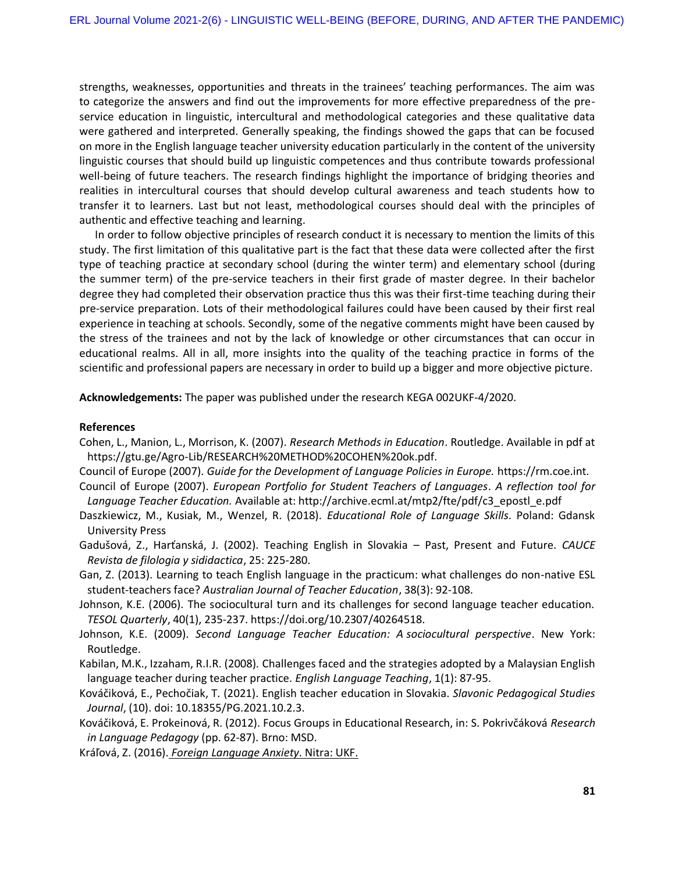strengths, weaknesses, opportunities and threats in the trainees' teaching performances. The aim was to categorize the answers and find out the improvements for more effective preparedness of the preservice education in linguistic, intercultural and methodological categories and these qualitative data were gathered and interpreted. Generally speaking, the findings showed the gaps that can be focused on more in the English language teacher university education particularly in the content of the university linguistic courses that should build up linguistic competences and thus contribute towards professional well-being of future teachers. The research findings highlight the importance of bridging theories and realities in intercultural courses that should develop cultural awareness and teach students how to transfer it to learners. Last but not least, methodological courses should deal with the principles of authentic and effective teaching and learning.

In order to follow objective principles of research conduct it is necessary to mention the limits of this study. The first limitation of this qualitative part is the fact that these data were collected after the first type of teaching practice at secondary school (during the winter term) and elementary school (during the summer term) of the pre-service teachers in their first grade of master degree. In their bachelor degree they had completed their observation practice thus this was their first-time teaching during their pre-service preparation. Lots of their methodological failures could have been caused by their first real experience in teaching at schools. Secondly, some of the negative comments might have been caused by the stress of the trainees and not by the lack of knowledge or other circumstances that can occur in educational realms. All in all, more insights into the quality of the teaching practice in forms of the scientific and professional papers are necessary in order to build up a bigger and more objective picture.

**Acknowledgements:** The paper was published under the research KEGA 002UKF-4/2020.

## **References**

- Cohen, L., Manion, L., Morrison, K. (2007). *Research Methods in Education*. Routledge. Available in pdf at https://gtu.ge/Agro-Lib/RESEARCH%20METHOD%20COHEN%20ok.pdf.
- Council of Europe (2007). *Guide for the Development of Language Policies in Europe.* https://rm.coe.int. Council of Europe (2007). *European Portfolio for Student Teachers of Languages*. *A reflection tool for*
- *Language Teacher Education.* Available at: http://archive.ecml.at/mtp2/fte/pdf/c3\_epostl\_e.pdf
- Daszkiewicz, M., Kusiak, M., Wenzel, R. (2018). *Educational Role of Language Skills*. Poland: Gdansk University Press
- Gadušová, Z., Harťanská, J. (2002). Teaching English in Slovakia Past, Present and Future. *CAUCE Revista de filologia y sididactica*, 25: 225-280.
- Gan, Z. (2013). Learning to teach English language in the practicum: what challenges do non-native ESL student-teachers face? *Australian Journal of Teacher Education*, 38(3): 92-108.
- Johnson, K.E. (2006). The sociocultural turn and its challenges for second language teacher education. *TESOL Quarterly*, 40(1), 235-237. https://doi.org/10.2307/40264518.
- Johnson, K.E. (2009). *Second Language Teacher Education: A sociocultural perspective*. New York: Routledge.
- Kabilan, M.K., Izzaham, R.I.R. (2008)*.* Challenges faced and the strategies adopted by a Malaysian English language teacher during teacher practice. *English Language Teaching*, 1(1): 87-95.
- Kováčiková, E., Pechočiak, T. (2021). English teacher education in Slovakia. *Slavonic Pedagogical Studies Journal*, (10). doi: 10.18355/PG.2021.10.2.3.
- Kováčiková, E. Prokeinová, R. (2012). Focus Groups in Educational Research, in: S. Pokrivčáková *Research in Language Pedagogy* (pp. 62-87). Brno: MSD.

Kráľová, Z. (2016). *Foreign Language Anxiety*. Nitra: UKF.